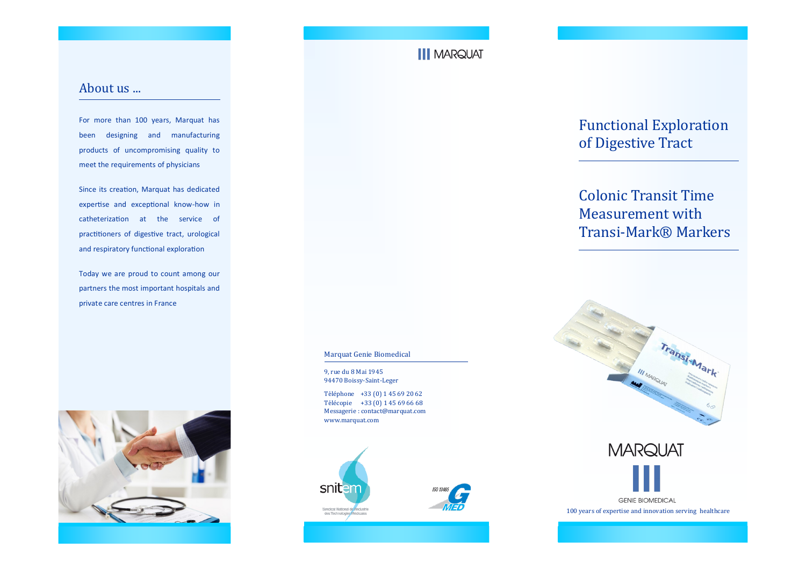# **III MARQUAT**

### About us ...

For more than 100 years, Marquat has been designing and manufacturing products of uncompromising quality to meet the requirements of physicians

Since its creation, Marquat has dedicated expertise and exceptional know-how in catheterization at the service of practitioners of digestive tract, urological and respiratory functional exploration

Today we are proud to count among our partners the most important hospitals and private care centres in France



#### Marquat Genie Biomedical

9, rue du 8 Mai 1945 94470 Boissy-Saint-Leger

Téléphone +33 (0) 1 45 69 20 62 Télécopie +33 (0) 1 45 69 66 68 Messagerie : contact@marquat.com www.marquat.com





Functional Exploration of Digestive Tract

# Colonic Transit Time Measurement with Transi-Mark® Markers